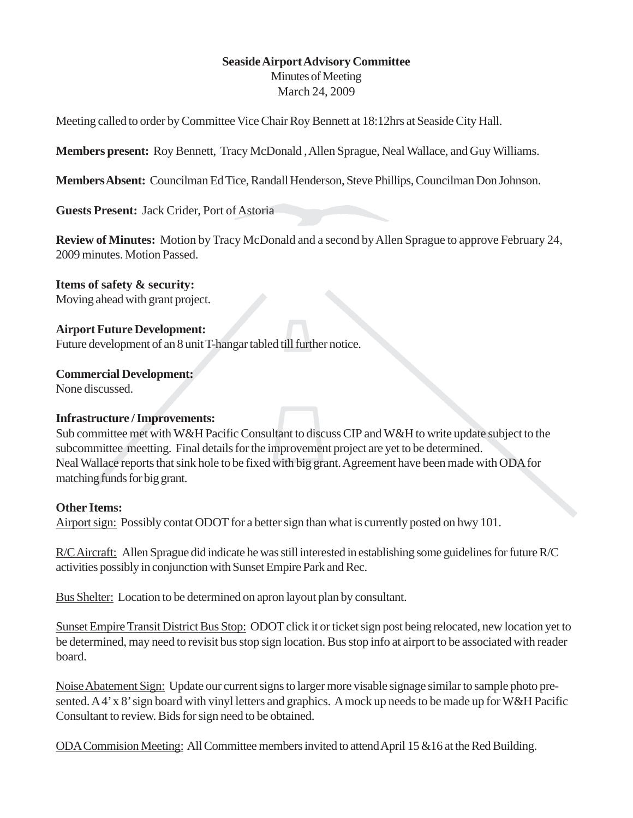## **Seaside Airport Advisory Committee**

Minutes of Meeting March 24, 2009

Meeting called to order by Committee Vice Chair Roy Bennett at 18:12hrs at Seaside City Hall.

**Members present:** Roy Bennett, Tracy McDonald , Allen Sprague, Neal Wallace, and Guy Williams.

**Members Absent:** Councilman Ed Tice, Randall Henderson, Steve Phillips, Councilman Don Johnson.

**Guests Present:** Jack Crider, Port of Astoria

**Review of Minutes:** Motion by Tracy McDonald and a second by Allen Sprague to approve February 24, 2009 minutes. Motion Passed.

**Items of safety & security:** Moving ahead with grant project.

**Airport Future Development:**

Future development of an 8 unit T-hangar tabled till further notice.

**Commercial Development:**

None discussed.

## **Infrastructure / Improvements:**

Sub committee met with W&H Pacific Consultant to discuss CIP and W&H to write update subject to the subcommittee meetting. Final details for the improvement project are yet to be determined. Neal Wallace reports that sink hole to be fixed with big grant. Agreement have been made with ODA for matching funds for big grant.

## **Other Items:**

Airport sign: Possibly contat ODOT for a better sign than what is currently posted on hwy 101.

R/C Aircraft: Allen Sprague did indicate he was still interested in establishing some guidelines for future R/C activities possibly in conjunction with Sunset Empire Park and Rec.

Bus Shelter: Location to be determined on apron layout plan by consultant.

Sunset Empire Transit District Bus Stop: ODOT click it or ticket sign post being relocated, new location yet to be determined, may need to revisit bus stop sign location. Bus stop info at airport to be associated with reader board.

Noise Abatement Sign: Update our current signs to larger more visable signage similar to sample photo presented. A 4' x 8' sign board with vinyl letters and graphics. A mock up needs to be made up for W&H Pacific Consultant to review. Bids for sign need to be obtained.

ODA Commision Meeting: All Committee members invited to attend April 15 &16 at the Red Building.